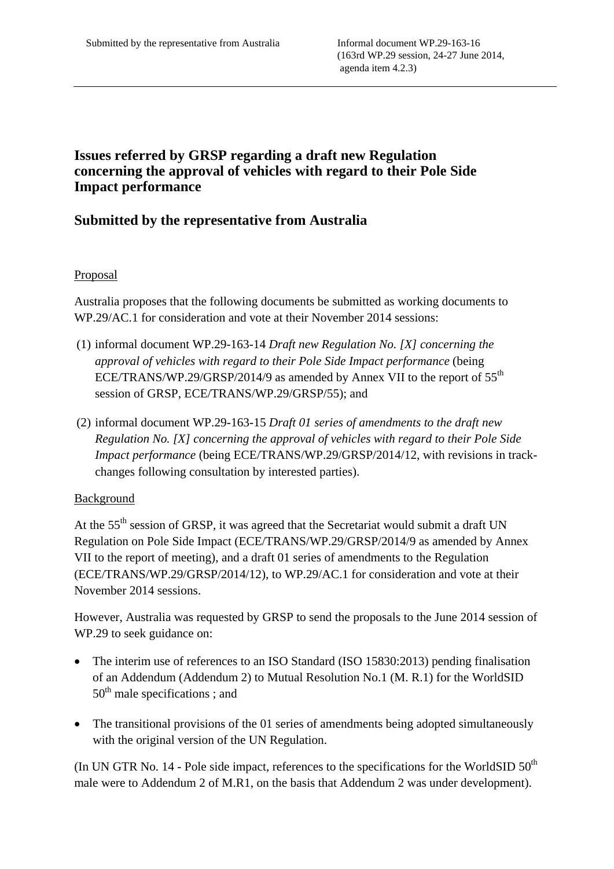# **Issues referred by GRSP regarding a draft new Regulation concerning the approval of vehicles with regard to their Pole Side Impact performance**

## **Submitted by the representative from Australia**

### Proposal

Australia proposes that the following documents be submitted as working documents to WP.29/AC.1 for consideration and vote at their November 2014 sessions:

- (1) informal document WP.29-163-14 *Draft new Regulation No. [X] concerning the approval of vehicles with regard to their Pole Side Impact performance* (being ECE/TRANS/WP.29/GRSP/2014/9 as amended by Annex VII to the report of  $55<sup>th</sup>$ session of GRSP, ECE/TRANS/WP.29/GRSP/55); and
- (2) informal document WP.29-163-15 *Draft 01 series of amendments to the draft new Regulation No. [X] concerning the approval of vehicles with regard to their Pole Side Impact performance* (being ECE/TRANS/WP.29/GRSP/2014/12, with revisions in trackchanges following consultation by interested parties).

#### Background

At the  $55<sup>th</sup>$  session of GRSP, it was agreed that the Secretariat would submit a draft UN Regulation on Pole Side Impact (ECE/TRANS/WP.29/GRSP/2014/9 as amended by Annex VII to the report of meeting), and a draft 01 series of amendments to the Regulation (ECE/TRANS/WP.29/GRSP/2014/12), to WP.29/AC.1 for consideration and vote at their November 2014 sessions.

However, Australia was requested by GRSP to send the proposals to the June 2014 session of WP.29 to seek guidance on:

- The interim use of references to an ISO Standard (ISO 15830:2013) pending finalisation of an Addendum (Addendum 2) to Mutual Resolution No.1 (M. R.1) for the WorldSID  $50<sup>th</sup>$  male specifications ; and
- The transitional provisions of the 01 series of amendments being adopted simultaneously with the original version of the UN Regulation.

(In UN GTR No. 14 - Pole side impact, references to the specifications for the WorldSID  $50<sup>th</sup>$ male were to Addendum 2 of M.R1, on the basis that Addendum 2 was under development).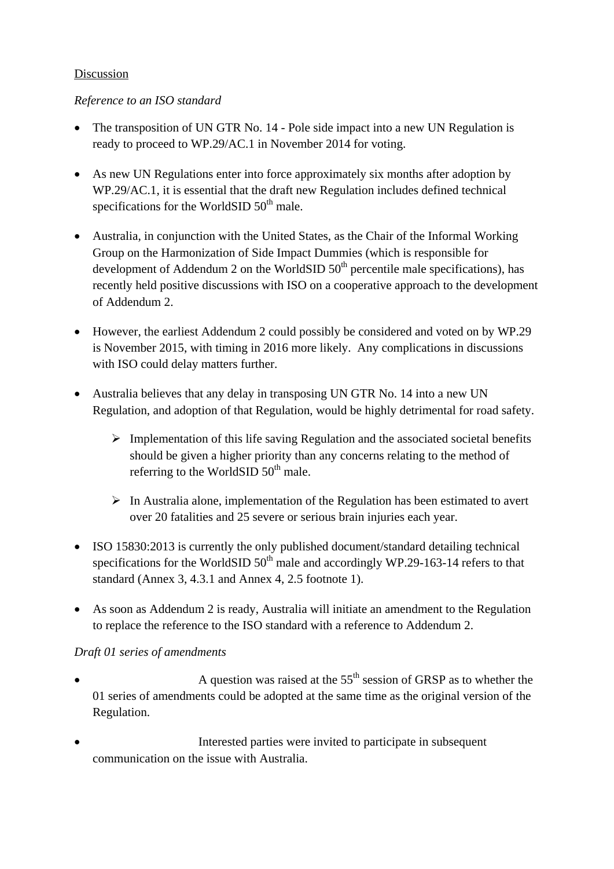### Discussion

### *Reference to an ISO standard*

- The transposition of UN GTR No. 14 Pole side impact into a new UN Regulation is ready to proceed to WP.29/AC.1 in November 2014 for voting.
- As new UN Regulations enter into force approximately six months after adoption by WP.29/AC.1, it is essential that the draft new Regulation includes defined technical specifications for the WorldSID  $50<sup>th</sup>$  male.
- Australia, in conjunction with the United States, as the Chair of the Informal Working Group on the Harmonization of Side Impact Dummies (which is responsible for development of Addendum 2 on the WorldSID  $50<sup>th</sup>$  percentile male specifications), has recently held positive discussions with ISO on a cooperative approach to the development of Addendum 2.
- However, the earliest Addendum 2 could possibly be considered and voted on by WP.29 is November 2015, with timing in 2016 more likely. Any complications in discussions with ISO could delay matters further.
- Australia believes that any delay in transposing UN GTR No. 14 into a new UN Regulation, and adoption of that Regulation, would be highly detrimental for road safety.
	- $\triangleright$  Implementation of this life saving Regulation and the associated societal benefits should be given a higher priority than any concerns relating to the method of referring to the WorldSID  $50<sup>th</sup>$  male.
	- $\triangleright$  In Australia alone, implementation of the Regulation has been estimated to avert over 20 fatalities and 25 severe or serious brain injuries each year.
- ISO 15830:2013 is currently the only published document/standard detailing technical specifications for the WorldSID  $50<sup>th</sup>$  male and accordingly WP.29-163-14 refers to that standard (Annex 3, 4.3.1 and Annex 4, 2.5 footnote 1).
- As soon as Addendum 2 is ready, Australia will initiate an amendment to the Regulation to replace the reference to the ISO standard with a reference to Addendum 2.

## *Draft 01 series of amendments*

- A question was raised at the  $55<sup>th</sup>$  session of GRSP as to whether the 01 series of amendments could be adopted at the same time as the original version of the Regulation.
- Interested parties were invited to participate in subsequent communication on the issue with Australia.